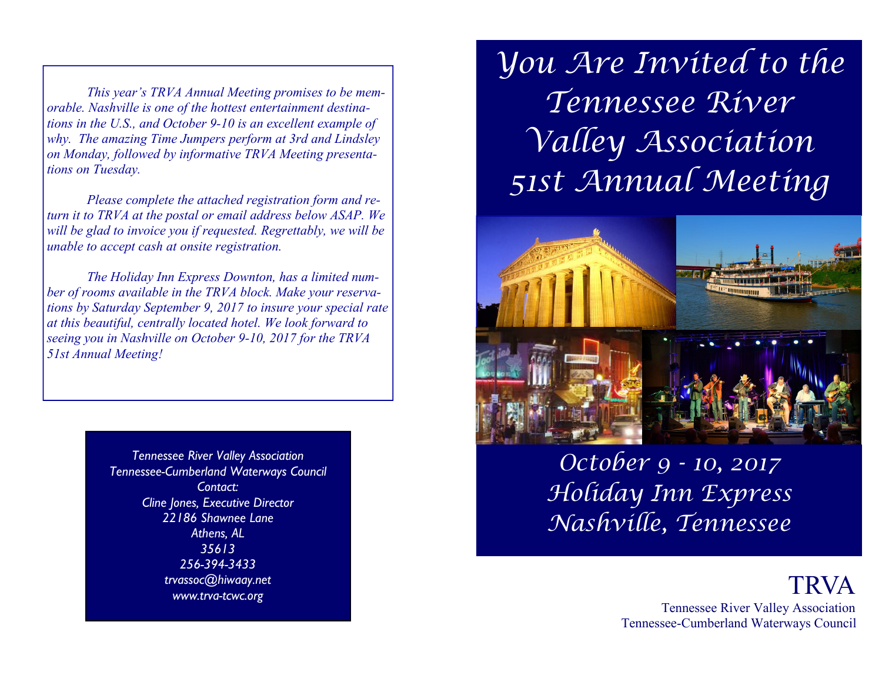*This year's TRVA Annual Meeting promises to be memorable. Nashville is one of the hottest entertainment destinations in the U.S., and October 9-10 is an excellent example of why. The amazing Time Jumpers perform at 3rd and Lindsley on Monday, followed by informative TRVA Meeting presentations on Tuesday.* 

 *Please complete the attached registration form and return it to TRVA at the postal or email address below ASAP. We will be glad to invoice you if requested. Regrettably, we will be unable to accept cash at onsite registration.* 

 *The Holiday Inn Express Downton, has a limited number of rooms available in the TRVA block. Make your reservations by Saturday September 9, 2017 to insure your special rate at this beautiful, centrally located hotel. We look forward to seeing you in Nashville on October 9-10, 2017 for the TRVA 51st Annual Meeting!* 

> *Tennessee River Valley Association Tennessee-Cumberland Waterways Council Contact: Cline Jones, Executive Director 22186 Shawnee Lane Athens, AL 35613 256-394-3433 trvassoc@hiwaay.net www.trva-tcwc.org*

You Are Invited to the Tennessee River Valley Association 51st Annual Meeting



October 9 - 10, 2017 Holiday Inn Express Nashville, Tennessee

> **TRVA**  Tennessee River Valley Association Tennessee-Cumberland Waterways Council